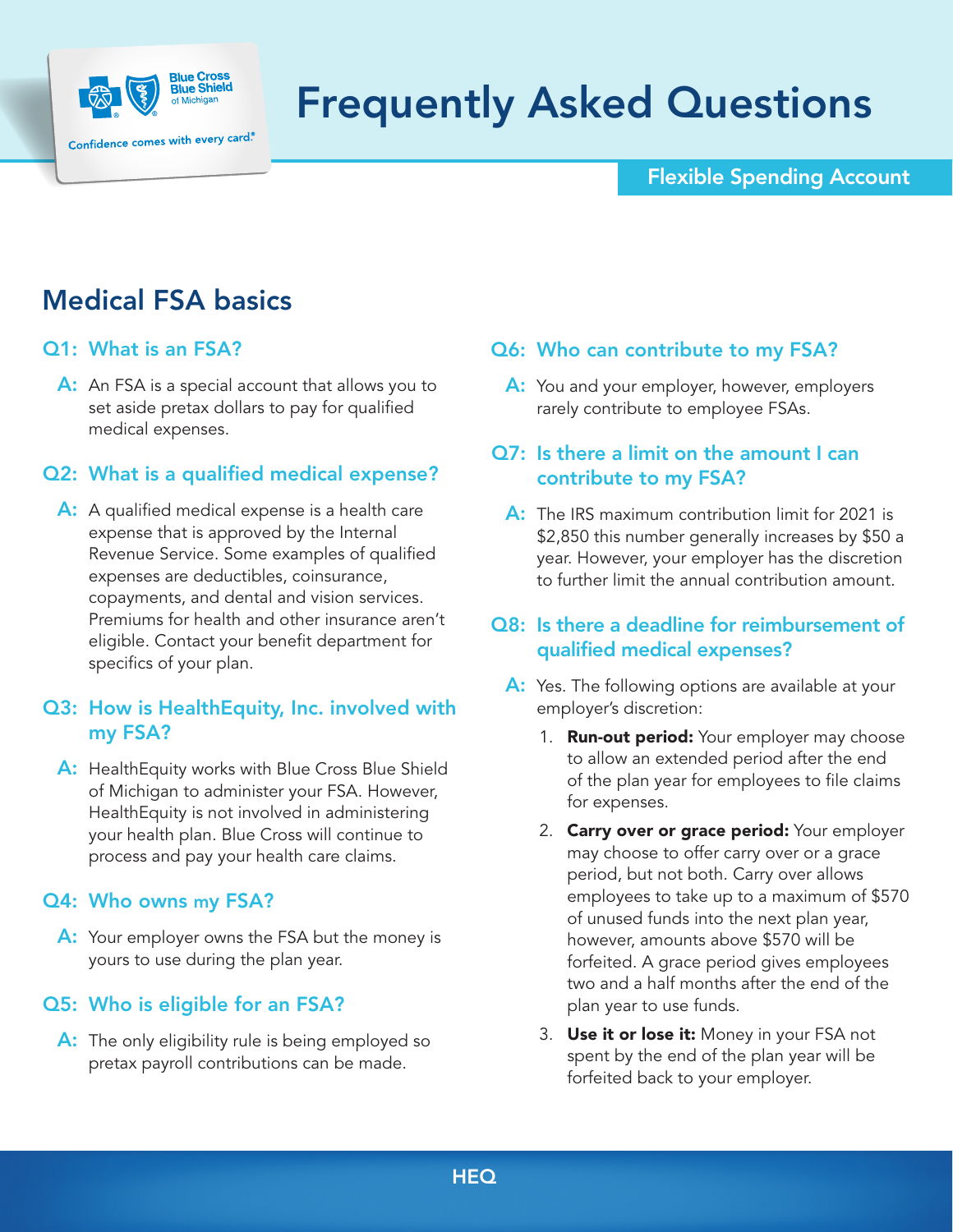

# Frequently Asked Questions

### Flexible Spending Account

# Medical FSA basics

### Q1: What is an FSA?

A: An FSA is a special account that allows you to set aside pretax dollars to pay for qualified medical expenses.

# Q2: What is a qualified medical expense?

A: A qualified medical expense is a health care expense that is approved by the Internal Revenue Service. Some examples of qualified expenses are deductibles, coinsurance, copayments, and dental and vision services. Premiums for health and other insurance aren't eligible. Contact your benefit department for specifics of your plan.

### Q3: How is HealthEquity, Inc. involved with my FSA?

A: Health Equity works with Blue Cross Blue Shield of Michigan to administer your FSA. However, HealthEquity is not involved in administering your health plan. Blue Cross will continue to process and pay your health care claims.

#### Q4: Who owns my FSA?

A: Your employer owns the FSA but the money is yours to use during the plan year.

### Q5: Who is eligible for an FSA?

A: The only eligibility rule is being employed so pretax payroll contributions can be made.

# Q6: Who can contribute to my FSA?

A: You and your employer, however, employers rarely contribute to employee FSAs.

# Q7: Is there a limit on the amount I can contribute to my FSA?

A: The IRS maximum contribution limit for 2021 is \$2,850 this number generally increases by \$50 a year. However, your employer has the discretion to further limit the annual contribution amount.

### Q8: Is there a deadline for reimbursement of qualified medical expenses?

- A: Yes. The following options are available at your employer's discretion:
	- 1. **Run-out period:** Your employer may choose to allow an extended period after the end of the plan year for employees to file claims for expenses.
	- 2. Carry over or grace period: Your employer may choose to offer carry over or a grace period, but not both. Carry over allows employees to take up to a maximum of \$570 of unused funds into the next plan year, however, amounts above \$570 will be forfeited. A grace period gives employees two and a half months after the end of the plan year to use funds.
	- 3. Use it or lose it: Money in your FSA not spent by the end of the plan year will be forfeited back to your employer.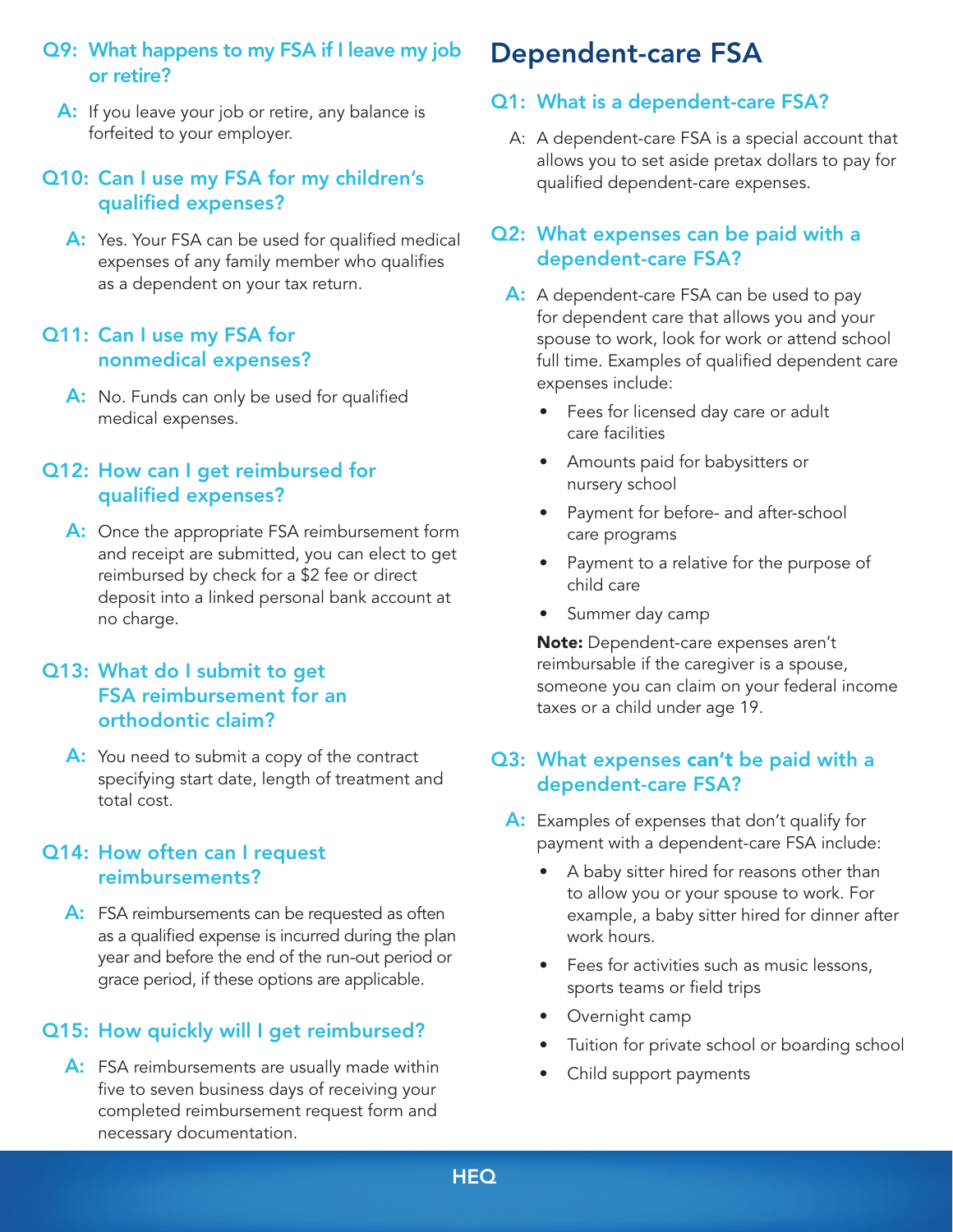# Q9: What happens to my FSA if I leave my job or retire?

A: If you leave your job or retire, any balance is forfeited to your employer.

### Q10: Can I use my FSA for my children's qualified expenses?

A: Yes. Your FSA can be used for qualified medical expenses of any family member who qualifies as a dependent on your tax return.

### Q11: Can I use my FSA for nonmedical expenses?

A: No. Funds can only be used for qualified medical expenses.

### Q12: How can I get reimbursed for qualified expenses?

A: Once the appropriate FSA reimbursement form and receipt are submitted, you can elect to get reimbursed by check for a \$2 fee or direct deposit into a linked personal bank account at no charge.

### Q13: What do I submit to get FSA reimbursement for an orthodontic claim?

A: You need to submit a copy of the contract specifying start date, length of treatment and total cost.

### Q14: How often can I request reimbursements?

A: FSA reimbursements can be requested as often as a qualified expense is incurred during the plan year and before the end of the run-out period or grace period, if these options are applicable.

### Q15: How quickly will I get reimbursed?

A: FSA reimbursements are usually made within five to seven business days of receiving your completed reimbursement request form and necessary documentation.

# Dependent-care FSA

# Q1: What is a dependent-care FSA?

A: A dependent-care FSA is a special account that allows you to set aside pretax dollars to pay for qualified dependent-care expenses.

### Q2: What expenses can be paid with a dependent-care FSA?

- A: A dependent-care FSA can be used to pay for dependent care that allows you and your spouse to work, look for work or attend school full time. Examples of qualified dependent care expenses include:
	- Fees for licensed day care or adult care facilities
	- Amounts paid for babysitters or nursery school
	- Payment for before- and after-school care programs
	- Payment to a relative for the purpose of child care
	- Summer day camp

Note: Dependent-care expenses aren't reimbursable if the caregiver is a spouse, someone you can claim on your federal income taxes or a child under age 19.

# Q3: What expenses can't be paid with a dependent-care FSA?

- A: Examples of expenses that don't qualify for payment with a dependent-care FSA include:
	- A baby sitter hired for reasons other than to allow you or your spouse to work. For example, a baby sitter hired for dinner after work hours.
	- Fees for activities such as music lessons, sports teams or field trips
	- Overnight camp
	- Tuition for private school or boarding school
	- Child support payments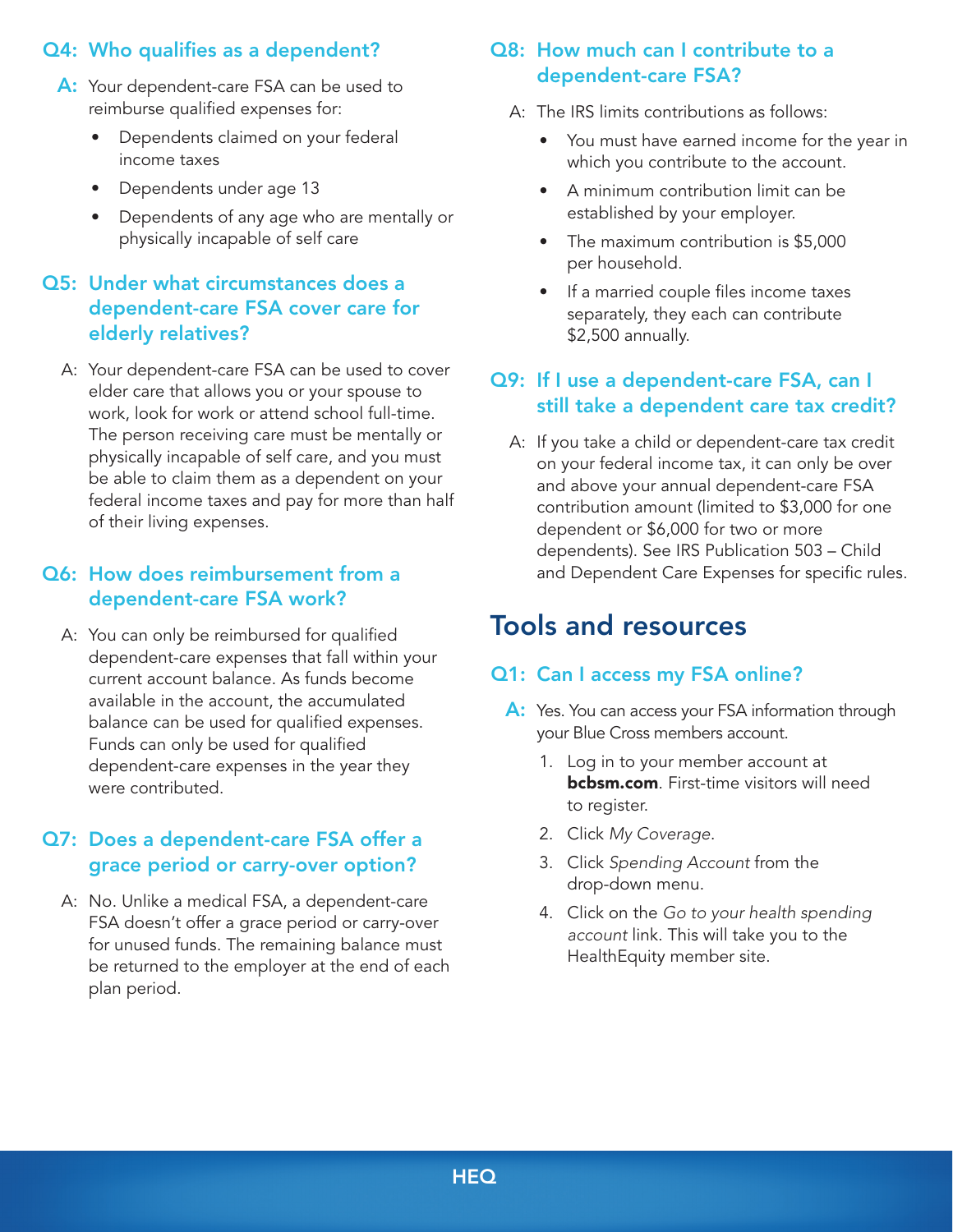# Q4: Who qualifies as a dependent?

- A: Your dependent-care FSA can be used to reimburse qualified expenses for:
	- Dependents claimed on your federal income taxes
	- Dependents under age 13
	- Dependents of any age who are mentally or physically incapable of self care

# Q5: Under what circumstances does a dependent-care FSA cover care for elderly relatives?

A: Your dependent-care FSA can be used to cover elder care that allows you or your spouse to work, look for work or attend school full-time. The person receiving care must be mentally or physically incapable of self care, and you must be able to claim them as a dependent on your federal income taxes and pay for more than half of their living expenses.

### Q6: How does reimbursement from a dependent-care FSA work?

A: You can only be reimbursed for qualified dependent-care expenses that fall within your current account balance. As funds become available in the account, the accumulated balance can be used for qualified expenses. Funds can only be used for qualified dependent-care expenses in the year they were contributed.

### Q7: Does a dependent-care FSA offer a grace period or carry-over option?

A: No. Unlike a medical FSA, a dependent-care FSA doesn't offer a grace period or carry-over for unused funds. The remaining balance must be returned to the employer at the end of each plan period.

# Q8: How much can I contribute to a dependent-care FSA?

- A: The IRS limits contributions as follows:
	- You must have earned income for the year in which you contribute to the account.
	- A minimum contribution limit can be established by your employer.
	- The maximum contribution is \$5,000 per household.
	- If a married couple files income taxes separately, they each can contribute \$2,500 annually.

# Q9: If I use a dependent-care FSA, can I still take a dependent care tax credit?

A: If you take a child or dependent-care tax credit on your federal income tax, it can only be over and above your annual dependent-care FSA contribution amount (limited to \$3,000 for one dependent or \$6,000 for two or more dependents). See IRS Publication 503 – Child and Dependent Care Expenses for specific rules.

# Tools and resources

### Q1: Can I access my FSA online?

- A: Yes. You can access your FSA information through your Blue Cross members account.
	- 1. Log in to your member account at **[bcbsm.com](http://bcbsm.com)**. First-time visitors will need to register.
	- 2. Click *My Coverage*.
	- 3. Click *Spending Account* from the drop-down menu.
	- 4. Click on the *Go to your health spending account* link. This will take you to the HealthEquity member site.